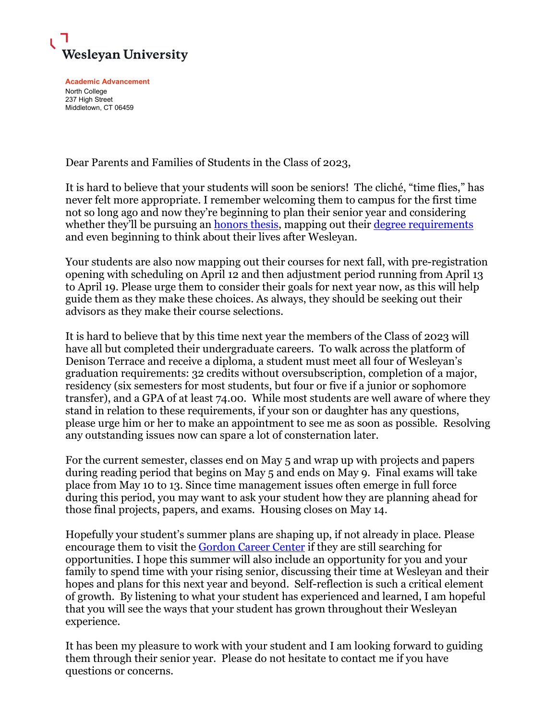

**Academic Advancement** North College 237 High Street Middletown, CT 06459

Dear Parents and Families of Students in the Class of 2023,

It is hard to believe that your students will soon be seniors! The cliché, "time flies," has never felt more appropriate. I remember welcoming them to campus for the first time not so long ago and now they're beginning to plan their senior year and considering whether they'll be pursuing an **honors thesis**, mapping out their [degree requirements](https://catalog.wesleyan.edu/academic-regulations/degree-requirements/) and even beginning to think about their lives after Wesleyan.

Your students are also now mapping out their courses for next fall, with pre-registration opening with scheduling on April 12 and then adjustment period running from April 13 to April 19. Please urge them to consider their goals for next year now, as this will help guide them as they make these choices. As always, they should be seeking out their advisors as they make their course selections.

It is hard to believe that by this time next year the members of the Class of 2023 will have all but completed their undergraduate careers. To walk across the platform of Denison Terrace and receive a diploma, a student must meet all four of Wesleyan's graduation requirements: 32 credits without oversubscription, completion of a major, residency (six semesters for most students, but four or five if a junior or sophomore transfer), and a GPA of at least 74.00. While most students are well aware of where they stand in relation to these requirements, if your son or daughter has any questions, please urge him or her to make an appointment to see me as soon as possible. Resolving any outstanding issues now can spare a lot of consternation later.

For the current semester, classes end on May 5 and wrap up with projects and papers during reading period that begins on May 5 and ends on May 9. Final exams will take place from May 10 to 13. Since time management issues often emerge in full force during this period, you may want to ask your student how they are planning ahead for those final projects, papers, and exams. Housing closes on May 14.

Hopefully your student's summer plans are shaping up, if not already in place. Please encourage them to visit the [Gordon Career Center](https://www.wesleyan.edu/careercenter/index.html) if they are still searching for opportunities. I hope this summer will also include an opportunity for you and your family to spend time with your rising senior, discussing their time at Wesleyan and their hopes and plans for this next year and beyond. Self-reflection is such a critical element of growth. By listening to what your student has experienced and learned, I am hopeful that you will see the ways that your student has grown throughout their Wesleyan experience.

It has been my pleasure to work with your student and I am looking forward to guiding them through their senior year. Please do not hesitate to contact me if you have questions or concerns.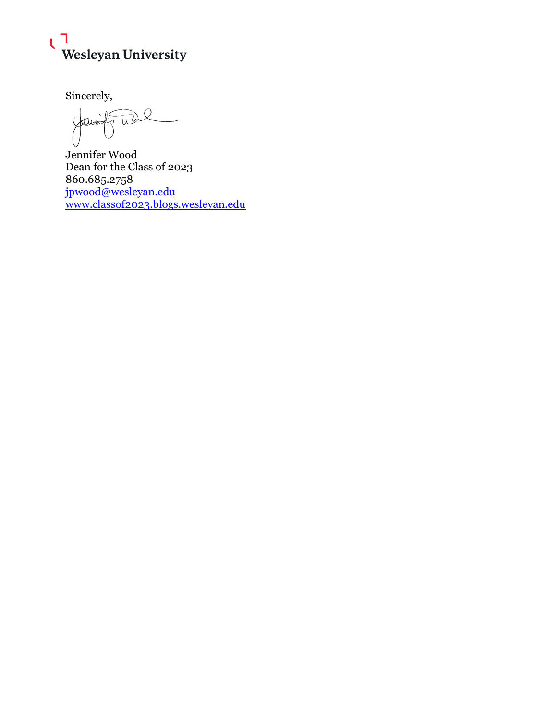

Sincerely,

 $\bigcirc$ W

Jennifer Wood Dean for the Class of 2023 860.685.2758 [jpwood@wesleyan.edu](mailto:jpwood@wesleyan.edu) [www.classof2023.blogs.wesleyan.edu](http://www.classof2023.blogs.wesleyan.edu/)